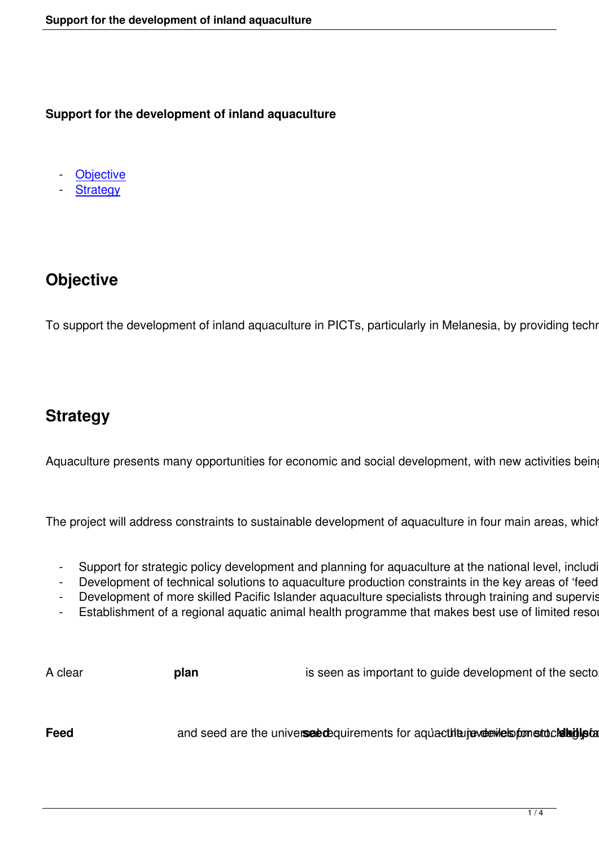**Support for the development of inland aquaculture**

**Objective** 

**Strategy** 

## **Objective**

To support the development of inland aquaculture in PICTs, particularly in Melanesia, by providing technical

## **Strategy**

Aquaculture presents many opportunities for economic and social development, with new activities being pı

The project will address constraints to sustainable development of aquaculture in four main areas, which have

- Support for strategic policy development and planning for aquaculture at the national level, including
- Development of technical solutions to aquaculture production constraints in the key areas of 'feed an
- Development of more skilled Pacific Islander aquaculture specialists through training and supervised
- Establishment of a regional aquatic animal health programme that makes best use of limited resource

| A clear | - plai | is seen as important to guide development of the sector, to                                                                                                                                           |  |  |  |  |
|---------|--------|-------------------------------------------------------------------------------------------------------------------------------------------------------------------------------------------------------|--|--|--|--|
|         |        |                                                                                                                                                                                                       |  |  |  |  |
|         |        | and seed are the universeedequirements for aquactilia jeveewes for stuckling tards<br>the contract of the contract of the contract of the contract of the contract of the contract of the contract of |  |  |  |  |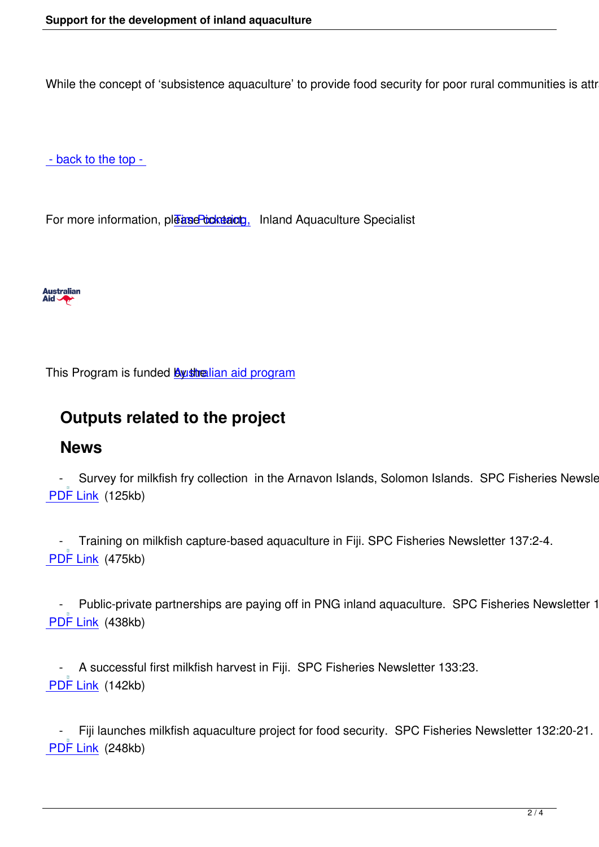While the concept of 'subsistence aquaculture' to provide food security for poor rural communities is attracti

- back to the top -

[For more informatio](#top)n, please contaction, Inland Aquaculture Specialist



This Program is funded **By shelian aid program** 

## **Outputs relate[d to the project](http://aid.dfat.gov.au/Pages/home.aspx)**

## **News**

Survey for milkfish fry collection in the Arnavon Islands, Solomon Islands. SPC Fisheries Newsletter PDF Link (125kb)

 [- Trai](http://www.spc.int/DigitalLibrary/Doc/FAME/InfoBull/FishNews/140/FishNews140_09_Pickering.pdf)ning on milkfish capture-based aquaculture in Fiji. SPC Fisheries Newsletter 137:2-4. PDF Link (475kb)

Public-private partnerships are paying off in PNG inland aquaculture. SPC Fisheries Newsletter 135 PDF Link (438kb)

A successful first milkfish harvest in Fiji. SPC Fisheries Newsletter 133:23. PDF Link (142kb)

 [- Fiji l](http://www.spc.int/DigitalLibrary/Doc/FAME/InfoBull/FishNews/133/FishNews133_23_MilkfishFJ.pdf)aunches milkfish aquaculture project for food security. SPC Fisheries Newsletter 132:20-21. PDF Link (248kb)